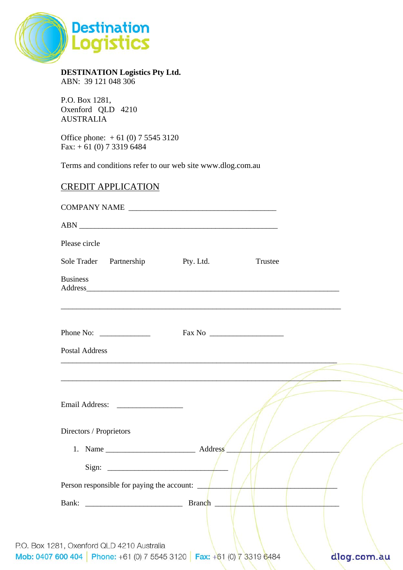

**DESTINATION Logistics Pty Ltd.**  ABN: 39 121 048 306

P.O. Box 1281, Oxenford QLD 4210 AUSTRALIA

Office phone: + 61 (0) 7 5545 3120 Fax:  $+ 61 (0) 7 3319 6484$ 

Terms and conditions refer to our web site www.dlog.com.au

## CREDIT APPLICATION

| Please circle                              |                                                           |  |
|--------------------------------------------|-----------------------------------------------------------|--|
| Sole Trader Partnership Pty. Ltd.          | Trustee                                                   |  |
| <b>Business</b>                            |                                                           |  |
|                                            | <u> 1989 - John Stone, Amerikaansk politiker († 1908)</u> |  |
|                                            |                                                           |  |
| <b>Postal Address</b>                      |                                                           |  |
|                                            |                                                           |  |
| Directors / Proprietors                    |                                                           |  |
|                                            |                                                           |  |
| Sign: $\sqrt{ }$                           |                                                           |  |
| Person responsible for paying the account: |                                                           |  |
|                                            |                                                           |  |
|                                            |                                                           |  |